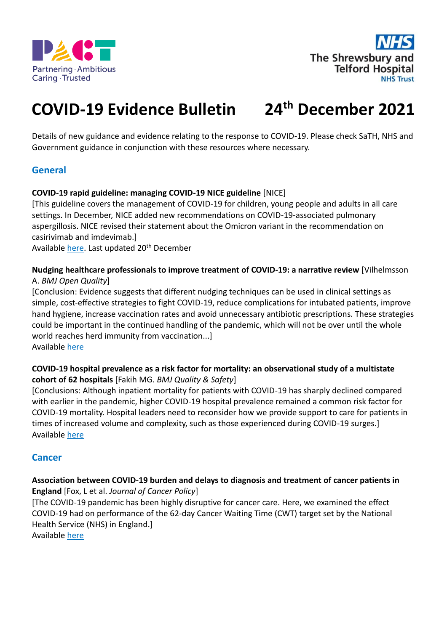



### **COVID-19 Evidence Bulletin 24 th December 2021**

Details of new guidance and evidence relating to the response to COVID-19. Please check SaTH, NHS and Government guidance in conjunction with these resources where necessary.

# **General**

## **COVID-19 rapid guideline: managing COVID-19 NICE guideline** [NICE]

[This guideline covers the management of COVID-19 for children, young people and adults in all care settings. In December, NICE added new recommendations on COVID-19-associated pulmonary aspergillosis. NICE revised their statement about the Omicron variant in the recommendation on casirivimab and imdevimab.]

Available [here.](https://www.nice.org.uk/guidance/ng191) Last updated 20<sup>th</sup> December

**Nudging healthcare professionals to improve treatment of COVID-19: a narrative review** [Vilhelmsson A. *BMJ Open Quality*]

[Conclusion: Evidence suggests that different nudging techniques can be used in clinical settings as simple, cost-effective strategies to fight COVID-19, reduce complications for intubated patients, improve hand hygiene, increase vaccination rates and avoid unnecessary antibiotic prescriptions. These strategies could be important in the continued handling of the pandemic, which will not be over until the whole world reaches herd immunity from vaccination...]

Available [here](https://bmjopenquality.bmj.com/content/10/4/e001522)

## **COVID-19 hospital prevalence as a risk factor for mortality: an observational study of a multistate cohort of 62 hospitals** [Fakih MG. *BMJ Quality & Safety*]

[Conclusions: Although inpatient mortality for patients with COVID-19 has sharply declined compared with earlier in the pandemic, higher COVID-19 hospital prevalence remained a common risk factor for COVID-19 mortality. Hospital leaders need to reconsider how we provide support to care for patients in times of increased volume and complexity, such as those experienced during COVID-19 surges.] Available [here](https://qualitysafety.bmj.com/content/31/1/45)

## **Cancer**

## **Association between COVID-19 burden and delays to diagnosis and treatment of cancer patients in England** [Fox, L et al. *Journal of Cancer Policy*]

[The COVID-19 pandemic has been highly disruptive for cancer care. Here, we examined the effect COVID-19 had on performance of the 62-day Cancer Waiting Time (CWT) target set by the National Health Service (NHS) in England.]

Available [here](https://www.sciencedirect.com/science/article/pii/S2213538321000473)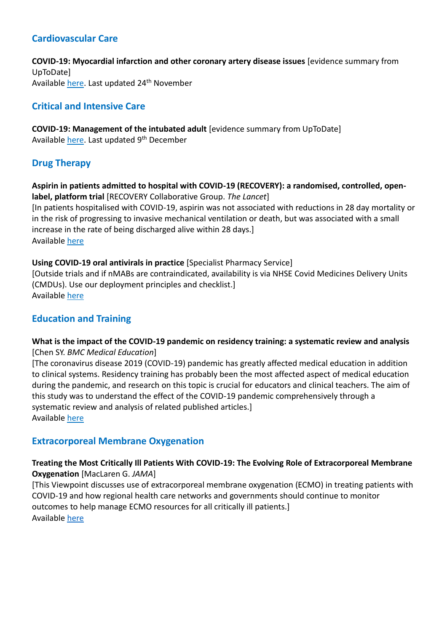# **Cardiovascular Care**

**COVID-19: Myocardial infarction and other coronary artery disease issues** [evidence summary from UpToDate] Available [here.](https://www.uptodate.com/contents/covid-19-myocardial-infarction-and-other-coronary-artery-disease-issues) Last updated 24<sup>th</sup> November

# **Critical and Intensive Care**

**COVID-19: Management of the intubated adult** [evidence summary from UpToDate] Available [here.](https://www.uptodate.com/contents/covid-19-management-of-the-intubated-adult) Last updated 9<sup>th</sup> December

# **Drug Therapy**

**Aspirin in patients admitted to hospital with COVID-19 (RECOVERY): a randomised, controlled, openlabel, platform trial** [RECOVERY Collaborative Group. *The Lancet*] [In patients hospitalised with COVID-19, aspirin was not associated with reductions in 28 day mortality or in the risk of progressing to invasive mechanical ventilation or death, but was associated with a small increase in the rate of being discharged alive within 28 days.] Available [here](https://www.sciencedirect.com/science/article/pii/S0140673621018250?via%3Dihub)

## **Using COVID-19 oral antivirals in practice** [Specialist Pharmacy Service]

[Outside trials and if nMABs are contraindicated, availability is via NHSE Covid Medicines Delivery Units (CMDUs). Use our deployment principles and checklist.] Available [here](https://www.sps.nhs.uk/articles/using-covid-19-oral-antivirals-in-practice/)

# **Education and Training**

## **What is the impact of the COVID-19 pandemic on residency training: a systematic review and analysis** [Chen SY. *BMC Medical Education*]

[The coronavirus disease 2019 (COVID-19) pandemic has greatly affected medical education in addition to clinical systems. Residency training has probably been the most affected aspect of medical education during the pandemic, and research on this topic is crucial for educators and clinical teachers. The aim of this study was to understand the effect of the COVID-19 pandemic comprehensively through a systematic review and analysis of related published articles.] Available [here](https://bmcmededuc.biomedcentral.com/articles/10.1186/s12909-021-03041-8)

## **Extracorporeal Membrane Oxygenation**

## **Treating the Most Critically Ill Patients With COVID-19: The Evolving Role of Extracorporeal Membrane Oxygenation** [MacLaren G. *JAMA*]

[This Viewpoint discusses use of extracorporeal membrane oxygenation (ECMO) in treating patients with COVID-19 and how regional health care networks and governments should continue to monitor outcomes to help manage ECMO resources for all critically ill patients.] Available [here](https://jamanetwork.com/journals/jama/fullarticle/2787451)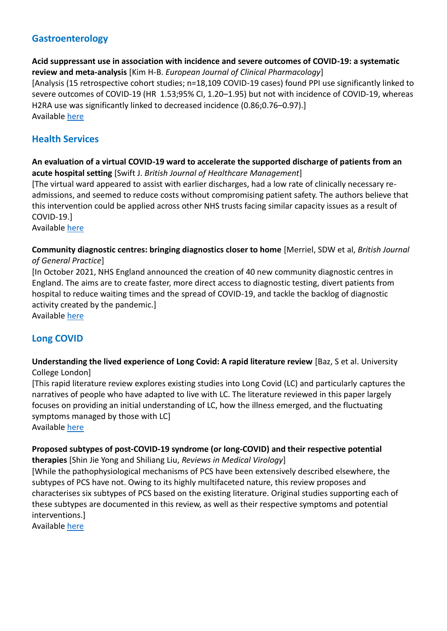# **Gastroenterology**

**Acid suppressant use in association with incidence and severe outcomes of COVID-19: a systematic review and meta-analysis** [Kim H-B. *European Journal of Clinical Pharmacology*] [Analysis (15 retrospective cohort studies; n=18,109 COVID-19 cases) found PPI use significantly linked to severe outcomes of COVID-19 (HR  1.53;95% CI, 1.20–1.95) but not with incidence of COVID-19, whereas H2RA use was significantly linked to decreased incidence (0.86;0.76–0.97).] Available [here](https://link.springer.com/article/10.1007/s00228-021-03255-1)

# **Health Services**

## **An evaluation of a virtual COVID-19 ward to accelerate the supported discharge of patients from an acute hospital setting** [Swift J. *British Journal of Healthcare Management*]

[The virtual ward appeared to assist with earlier discharges, had a low rate of clinically necessary readmissions, and seemed to reduce costs without compromising patient safety. The authors believe that this intervention could be applied across other NHS trusts facing similar capacity issues as a result of COVID-19.]

Available [here](https://www.magonlinelibrary.com/doi/epub/10.12968/bjhc.2021.0073)

## **Community diagnostic centres: bringing diagnostics closer to home** [Merriel, SDW et al, *British Journal of General Practice*]

[In October 2021, NHS England announced the creation of 40 new community diagnostic centres in England. The aims are to create faster, more direct access to diagnostic testing, divert patients from hospital to reduce waiting times and the spread of COVID-19, and tackle the backlog of diagnostic activity created by the pandemic.]

Available [here](https://bjgp.org/content/71/713/534.full)

# **Long COVID**

## **Understanding the lived experience of Long Covid: A rapid literature review** [Baz, S et al. University College London]

[This rapid literature review explores existing studies into Long Covid (LC) and particularly captures the narratives of people who have adapted to live with LC. The literature reviewed in this paper largely focuses on providing an initial understanding of LC, how the illness emerged, and the fluctuating symptoms managed by those with LC]

Available [here](https://www.ucl.ac.uk/covid-19-longitudinal-health-wellbeing/sites/covid_19_longitudinal_health_wellbeing/files/understanding_the_lived_experience_of_long_covid.pdf)

# **Proposed subtypes of post-COVID-19 syndrome (or long-COVID) and their respective potential**

**therapies** [Shin Jie Yong and Shiliang Liu, *Reviews in Medical Virology*]

[While the pathophysiological mechanisms of PCS have been extensively described elsewhere, the subtypes of PCS have not. Owing to its highly multifaceted nature, this review proposes and characterises six subtypes of PCS based on the existing literature. Original studies supporting each of these subtypes are documented in this review, as well as their respective symptoms and potential interventions.]

Available [here](https://onlinelibrary.wiley.com/doi/full/10.1002/rmv.2315)